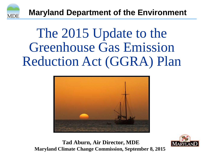

**Maryland Department of the Environment** 

# The 2015 Update to the Greenhouse Gas Emission Reduction Act (GGRA) Plan



**Tad Aburn, Air Director, MDE Maryland Climate Change Commission, September 8, 2015**

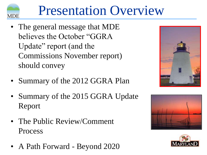# Presentation Overview

• The general message that MDE believes the October "GGRA Update" report (and the Commissions November report) should convey

**MDE** 

- Summary of the 2012 GGRA Plan
- Summary of the 2015 GGRA Update Report
- The Public Review/Comment Process
- A Path Forward Beyond 2020





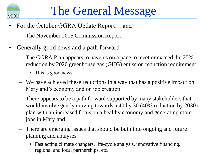

- For the October GGRA Update Report... and
	- The November 2015 Commission Report
- Generally good news and a path forward
	- The GGRA Plan appears to have us on a pace to meet or exceed the 25% reduction by 2020 greenhouse gas (GHG) emission reduction requirement
		- This is good news
	- We have achieved these reductions in a way that has a positive impact on Maryland's economy and on job creation
	- There appears to be a path forward supported by many stakeholders that would involve gently moving towards a 40 by 30 (40% reduction by 2030) plan with an increased focus on a healthy economy and generating more jobs in Maryland
	- There are emerging issues that should be built into ongoing and future planning and analyses
		- Fast acting climate changers, life-cycle analysis, innovative financing, regional and local partnerships, etc.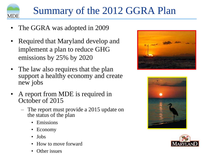

### Summary of the 2012 GGRA Plan

- The GGRA was adopted in 2009
- Required that Maryland develop and implement a plan to reduce GHG emissions by 25% by 2020
- The law also requires that the plan support a healthy economy and create new jobs
- A report from MDE is required in October of 2015
	- The report must provide a 2015 update on the status of the plan
		- **Emissions**
		- Economy
		- Jobs
		- How to move forward
		- Other issues





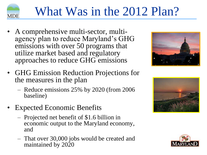

# What Was in the 2012 Plan?

• A comprehensive multi-sector, multiagency plan to reduce Maryland's GHG emissions with over 50 programs that utilize market based and regulatory approaches to reduce GHG emissions



- GHG Emission Reduction Projections for the measures in the plan
	- Reduce emissions 25% by 2020 (from 2006 baseline)
- Expected Economic Benefits
	- Projected net benefit of \$1.6 billion in economic output to the Maryland economy, and
	- That over 30,000 jobs would be created and maintained by 2020



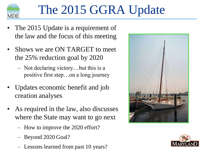

# The 2015 GGRA Update

- The 2015 Update is a requirement of the law and the focus of this meeting
- Shows we are ON TARGET to meet the 25% reduction goal by 2020
	- Not declaring victory…but this is a positive first step…on a long journey
- Updates economic benefit and job creation analyses
- As required in the law, also discusses where the State may want to go next
	- How to improve the 2020 effort?
	- Beyond 2020 Goal?
	- Lessons learned from past 10 years?



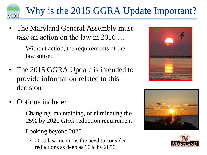### Why is the 2015 GGRA Update Important?

- The Maryland General Assembly must take an action on the law in 2016 …
	- Without action, the requirements of the law sunset
- The 2015 GGRA Update is intended to provide information related to this decision
- Options include:

**MDE** 

- Changing, maintaining, or eliminating the 25% by 2020 GHG reduction requirement
- Looking beyond 2020
	- 2009 law mentions the need to consider reductions as deep as 90% by 2050





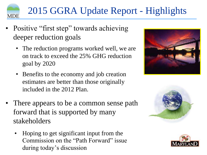## 2015 GGRA Update Report - Highlights

Positive "first step" towards achieving deeper reduction goals

**MDE** 

- The reduction programs worked well, we are on track to exceed the 25% GHG reduction goal by 2020
- Benefits to the economy and job creation estimates are better than those originally included in the 2012 Plan.
- There appears to be a common sense path forward that is supported by many stakeholders
	- Hoping to get significant input from the Commission on the "Path Forward" issue during today's discussion





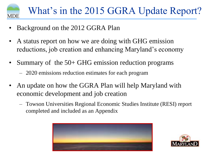

- Background on the 2012 GGRA Plan
- A status report on how we are doing with GHG emission reductions, job creation and enhancing Maryland's economy
- Summary of the 50+ GHG emission reduction programs
	- 2020 emissions reduction estimates for each program
- An update on how the GGRA Plan will help Maryland with economic development and job creation
	- Towson Universities Regional Economic Studies Institute (RESI) report completed and included as an Appendix



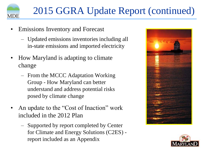

- Emissions Inventory and Forecast
	- Updated emissions inventories including all in-state emissions and imported electricity
- How Maryland is adapting to climate change
	- From the MCCC Adaptation Working Group - How Maryland can better understand and address potential risks posed by climate change
- An update to the "Cost of Inaction" work included in the 2012 Plan
	- Supported by report completed by Center for Climate and Energy Solutions (C2ES) report included as an Appendix



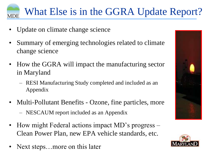### What Else is in the GGRA Update Report? **MDE**

- Update on climate change science
- Summary of emerging technologies related to climate change science
- How the GGRA will impact the manufacturing sector in Maryland
	- RESI Manufacturing Study completed and included as an Appendix
- Multi-Pollutant Benefits Ozone, fine particles, more
	- NESCAUM report included as an Appendix
- How might Federal actions impact MD's progress Clean Power Plan, new EPA vehicle standards, etc.
- Next steps...more on this later



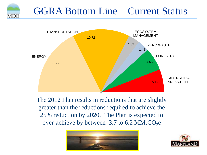### GGRA Bottom Line – Current Status

**MDE** 



The 2012 Plan results in reductions that are slightly greater than the reductions required to achieve the 25% reduction by 2020. The Plan is expected to over-achieve by between  $3.7$  to 6.2 MMtCO<sub>2</sub>e



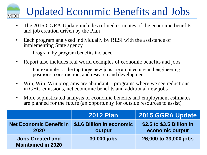#### Updated Economic Benefits and Jobs **MDE**

- The 2015 GGRA Update includes refined estimates of the economic benefits and job creation driven by the Plan
- Each program analyzed individually by RESI with the assistance of implementing State agency
	- Program by program benefits included
- Report also includes real world examples of economic benefits and jobs
	- For example … the top three new jobs are architecture and engineering positions, construction, and research and development
- Win, Win, Win programs are abundant programs where we see reductions in GHG emissions, net economic benefits and additional new jobs
- More sophisticated analysis of economic benefits and employment estimates are planned for the future (an opportunity for outside resources to assist)

|                                                      | <b>2012 Plan</b>                    | <b>2015 GGRA Update</b>                      |
|------------------------------------------------------|-------------------------------------|----------------------------------------------|
| <b>Net Economic Benefit in</b><br>2020               | \$1.6 Billion in economic<br>output | \$2.5 to \$3.5 Billion in<br>economic output |
| <b>Jobs Created and</b><br><b>Maintained in 2020</b> | 30,000 jobs                         | 26,000 to 33,000 jobs                        |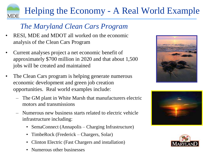#### Helping the Economy - A Real World Example **MDE**

### *The Maryland Clean Cars Program*

- RESI, MDE and MDOT all worked on the economic analysis of the Clean Cars Program
- Current analyses project a net economic benefit of approximately \$700 million in 2020 and that about 1,500 jobs will be created and maintained
- The Clean Cars program is helping generate numerous economic development and green job creation opportunities. Real world examples include:
	- The GM plant in White Marsh that manufacturers electric motors and transmissions
	- Numerous new business starts related to electric vehicle infrastructure including:
		- SemaConnect (Annapolis Charging Infrastructure)
		- TimbeRock (Frederick Chargers, Solar)
		- Clinton Electric (Fast Chargers and installation)
		- Numerous other businesses





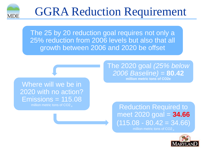

## GGRA Reduction Requirement

The 25 by 20 reduction goal requires not only a 25% reduction from 2006 levels but also that all growth between 2006 and 2020 be offset

#### Where will we be in 2020 with no action?  $E$ missions = 115.08

The 2020 goal *(25% below 2006 Baseline)* = **80.42 million metric tons of CO2e**

million metric tons of CO2 e Reduction Required to meet 2020 goal = **34.66**  $\overline{(115.08 - 80.42} = 34.66)$ million metric tons of  $CO2$ 

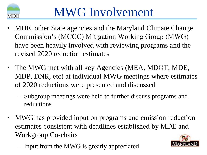

- MDE, other State agencies and the Maryland Climate Change Commission's (MCCC) Mitigation Working Group (MWG) have been heavily involved with reviewing programs and the revised 2020 reduction estimates
- The MWG met with all key Agencies (MEA, MDOT, MDE, MDP, DNR, etc) at individual MWG meetings where estimates of 2020 reductions were presented and discussed
	- Subgroup meetings were held to further discuss programs and reductions
- MWG has provided input on programs and emission reduction estimates consistent with deadlines established by MDE and Workgroup Co-chairs
	- Input from the MWG is greatly appreciated

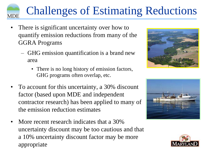# Challenges of Estimating Reductions

There is significant uncertainty over how to quantify emission reductions from many of the GGRA Programs

**MDE** 

- GHG emission quantification is a brand new area
	- There is no long history of emission factors, GHG programs often overlap, etc.
- To account for this uncertainty, a 30% discount factor (based upon MDE and independent contractor research) has been applied to many of the emission reduction estimates
- More recent research indicates that a 30% uncertainty discount may be too cautious and that a 10% uncertainty discount factor may be more appropriate





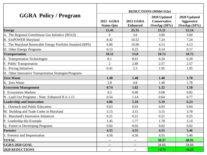|                                                           | <b>REDUCTIONS (MMtCO2e)</b>           |                                     |                                                         |                                                       |
|-----------------------------------------------------------|---------------------------------------|-------------------------------------|---------------------------------------------------------|-------------------------------------------------------|
| <b>GGRA Policy / Program</b>                              | <b>2012 GGRA</b><br><b>Status Quo</b> | <b>2012 GGRA</b><br><b>Enhanced</b> | 2020 Updated<br><b>Conservative</b><br>Overlap $(30\%)$ | 2020 Updated<br><b>Aggressive</b><br>Overlap $(10\%)$ |
| <b>Energy</b>                                             | 15.41                                 | 25.31                               | 15.11                                                   | 15.14                                                 |
| A. The Regional Greenhouse Gas Initiative (RGGI)          | $\Omega$                              | 3.6                                 | 3.60                                                    | 3.60                                                  |
| <b>B.</b> EmPOWER Maryland                                | 8.42                                  | 10.52                               | 7.24                                                    | 7.24                                                  |
| C. The Maryland Renewable Energy Portfolio Standard (RPS) | 6.86                                  | 10.96                               | 4.13                                                    | 4.13                                                  |
| D. Other Energy Programs                                  | 0.13                                  | 0.23                                | 0.14                                                    | 0.17                                                  |
| <b>Transportation</b>                                     | 10.51                                 | 13.8                                | 10.72                                                   | 10.72                                                 |
| E. Transportation Technologies                            | 8.1                                   | 8.61                                | 6.20                                                    | 6.20                                                  |
| F. Public Transportation                                  | $\overline{2}$                        | 2.89                                | 2.57                                                    | 2.57                                                  |
| G. Pricing Initiatives                                    | 0.41                                  | 2.3                                 | 1.95                                                    | 1.95                                                  |
| H. Other Innovative Transportation Strategies/Programs    |                                       |                                     |                                                         |                                                       |
| <b>Zero Waste</b>                                         | 1.48                                  | 1.48                                | 1.48                                                    | 1.78                                                  |
| K. Zero Waste                                             | 2.8                                   | 4.8                                 | 1.48                                                    | 1.78                                                  |
| <b>Ecosystem Management</b>                               | 0.74                                  | 1.82                                | 1.32                                                    | 1.58                                                  |
| I. Ecosystems Markets                                     | 0.2                                   | 0.68                                | 0.68                                                    | 0.82                                                  |
| N. Land Use Programs - Note: Enhanced II is 1.15          | 0.54                                  | 1.14                                | 0.64                                                    | 0.77                                                  |
| <b>Leadership and Innovation</b>                          | 4.86                                  | 5.18                                | 5.19                                                    | 6.23                                                  |
| L. Outreach and Public Education                          | 0.03                                  | 0.03                                | 0.03                                                    | 0.04                                                  |
| M. Building and Trade Codes in Maryland                   | 3.15                                  | 3.15                                | 3.15                                                    | 3.78                                                  |
| O. Maryland's Innovative Initiatives                      | 0.21                                  | 0.21                                | 0.21                                                    | 0.25                                                  |
| P. Leadership-By-Example                                  | 1.45                                  | 1.77                                | 1.78                                                    | 2.14                                                  |
| Q. Future or Developing Programs                          | 0.02                                  | 0.02                                | 0.02                                                    | 0.02                                                  |
| Forestry                                                  | 4.55                                  | 4.55                                | 4.55                                                    | 5.46                                                  |
| J. Forestry and Sequestration                             | 4.56                                  | 4.56                                | 4.55                                                    | 5.46                                                  |
| <b>TOTAL</b>                                              |                                       |                                     | 38.37                                                   | 40.91                                                 |
| <b>GGRA 2020 GOAL</b>                                     | $-$                                   | $-$                                 | 34.66                                                   | 34.66                                                 |
| <b>2020 REDUCTIONS</b>                                    | $\qquad \qquad -$                     | $- -$                               | $+3.71$                                                 | $+6.25$                                               |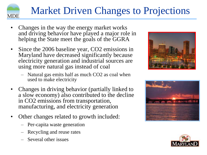# **MDE**

### Market Driven Changes to Projections

- Changes in the way the energy market works and driving behavior have played a major role in helping the State meet the goals of the GGRA
- Since the 2006 baseline year, CO2 emissions in Maryland have decreased significantly because electricity generation and industrial sources are using more natural gas instead of coal
	- Natural gas emits half as much CO2 as coal when used to make electricity
- Changes in driving behavior (partially linked to a slow economy) also contributed to the decline in CO2 emissions from transportation, manufacturing, and electricity generation
- Other changes related to growth included:
	- Per-capita waste generation
	- Recycling and reuse rates
	- Several other issues





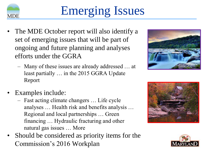

# Emerging Issues

- The MDE October report will also identify a set of emerging issues that will be part of ongoing and future planning and analyses efforts under the GGRA
	- Many of these issues are already addressed … at least partially … in the 2015 GGRA Update Report





- Examples include:
	- Fast acting climate changers … Life cycle analyses … Health risk and benefits analysis … Regional and local partnerships … Green financing … Hydraulic fracturing and other natural gas issues … More
- Should be considered as priority items for the Commission's 2016 Workplan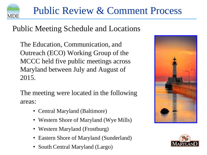

### Public Meeting Schedule and Locations

The Education, Communication, and Outreach (ECO) Working Group of the MCCC held five public meetings across Maryland between July and August of 2015.

The meeting were located in the following areas:

- Central Maryland (Baltimore)
- Western Shore of Maryland (Wye Mills)
- Western Maryland (Frostburg)
- Eastern Shore of Maryland (Sunderland)
- South Central Maryland (Largo)



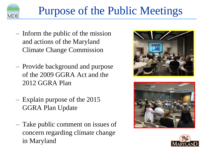

- Inform the public of the mission and actions of the Maryland Climate Change Commission
- Provide background and purpose of the 2009 GGRA Act and the 2012 GGRA Plan
- Explain purpose of the 2015 GGRA Plan Update
- Take public comment on issues of concern regarding climate change in Maryland





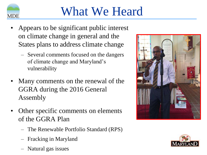

## What We Heard

- Appears to be significant public interest on climate change in general and the States plans to address climate change
	- Several comments focused on the dangers of climate change and Maryland's vulnerability
- Many comments on the renewal of the GGRA during the 2016 General Assembly
- Other specific comments on elements of the GGRA Plan
	- The Renewable Portfolio Standard (RPS)
	- Fracking in Maryland
	- Natural gas issues



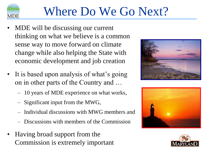

## Where Do We Go Next?

- MDE will be discussing our current thinking on what we believe is a common sense way to move forward on climate change while also helping the State with economic development and job creation
- It is based upon analysis of what's going on in other parts of the Country and …
	- 10 years of MDE experience on what works,
	- Significant input from the MWG,
	- Individual discussions with MWG members and
	- Discussions with members of the Commission
- Having broad support from the Commission is extremely important





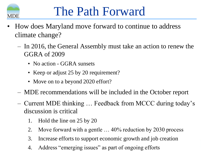

## The Path Forward

- How does Maryland move forward to continue to address climate change?
	- In 2016, the General Assembly must take an action to renew the GGRA of 2009
		- No action GGRA sunsets
		- Keep or adjust 25 by 20 requirement?
		- Move on to a beyond 2020 effort?
	- MDE recommendations will be included in the October report
	- Current MDE thinking … Feedback from MCCC during today's discussion is critical
		- 1. Hold the line on 25 by 20
		- 2. Move forward with a gentle … 40% reduction by 2030 process
		- 3. Increase efforts to support economic growth and job creation
		- 4. Address "emerging issues" as part of ongoing efforts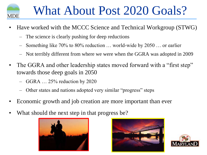

## What About Post 2020 Goals?

- Have worked with the MCCC Science and Technical Workgroup (STWG)
	- The science is clearly pushing for deep reductions
	- Something like 70% to 80% reduction … world-wide by 2050 … or earlier
	- Not terribly different from where we were when the GGRA was adopted in 2009
- The GGRA and other leadership states moved forward with a "first step" towards those deep goals in 2050
	- GGRA  $\dots$  25% reduction by 2020
	- Other states and nations adopted very similar "progress" steps
- Economic growth and job creation are more important than ever
- What should the next step in that progress be?





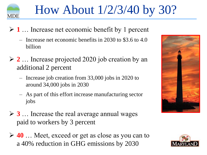

## How About 1/2/3/40 by 30?

- **1** … Increase net economic benefit by 1 percent
	- Increase net economic benefits in 2030 to \$3.6 to 4.0 billion
- **2** … Increase projected 2020 job creation by an additional 2 percent
	- Increase job creation from 33,000 jobs in 2020 to around 34,000 jobs in 2030
	- As part of this effort increase manufacturing sector jobs
- **3** … Increase the real average annual wages paid to workers by 3 percent
- **40** … Meet, exceed or get as close as you can to a 40% reduction in GHG emissions by 2030



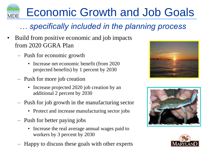#### Economic Growth and Job Goals **MDE**

### *… specifically included in the planning process*

- Build from positive economic and job impacts from 2020 GGRA Plan
	- Push for economic growth
		- Increase net economic benefit (from 2020) projected benefits) by 1 percent by 2030
	- Push for more job creation
		- Increase projected 2020 job creation by an additional 2 percent by 2030
	- Push for job growth in the manufacturing sector
		- Protect and increase manufacturing sector jobs
	- Push for better paying jobs
		- Increase the real average annual wages paid to workers by 3 percent by 2030
	- Happy to discuss these goals with other experts





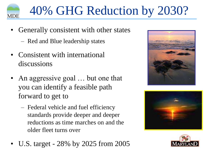

# 40% GHG Reduction by 2030?

- Generally consistent with other states
	- Red and Blue leadership states
- Consistent with international discussions
- An aggressive goal … but one that you can identify a feasible path forward to get to
	- Federal vehicle and fuel efficiency standards provide deeper and deeper reductions as time marches on and the older fleet turns over







• U.S. target - 28% by 2025 from 2005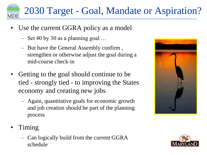#### 2030 Target - Goal, Mandate or Aspiration?**MDE**

- Use the current GGRA policy as a model
	- Set 40 by 30 as a planning goal …
	- But have the General Assembly confirm , strengthen or otherwise adjust the goal during a mid-course check-in
- Getting to the goal should continue to be tied - strongly tied - to improving the States economy and creating new jobs
	- Again, quantitative goals for economic growth and job creation should be part of the planning process



- Timing
	- Can logically build from the current GGRA schedule

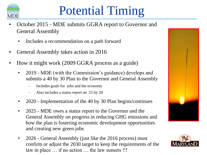

# Potential Timing

- October 2015 MDE submits GGRA report to Governor and General Assembly
	- Includes a recommendation on a path forward
- General Assembly takes action in 2016
- How it might work (2009 GGRA process as a guide)
	- 2019 MDE (with the Commission's guidance) develops and submits a 40 by 30 Plan to the Governor and General Assembly
		- Includes goals for jobs and the economy
		- Also includes a status report on 25 by 20
	- 2020 Implementation of the 40 by 30 Plan begins/continues
	- 2025 MDE owes a status report to the Governor and the General Assembly on progress in reducing GHG emissions and how the plan is fostering economic development opportunities and creating new green jobs
	- 2026 General Assembly (just like the 2016 process) must confirm or adjust the 2030 target to keep the requirements of the law in place ... if no action ... the law sunsets !!!



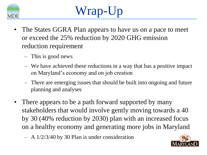

# Wrap-Up

- The States GGRA Plan appears to have us on a pace to meet or exceed the 25% reduction by 2020 GHG emission reduction requirement
	- This is good news
	- We have achieved these reductions in a way that has a positive impact on Maryland's economy and on job creation
	- There are emerging issues that should be built into ongoing and future planning and analyses
- There appears to be a path forward supported by many stakeholders that would involve gently moving towards a 40 by 30 (40% reduction by 2030) plan with an increased focus on a healthy economy and generating more jobs in Maryland
	- A 1/2/3/40 by 30 Plan is under consideration